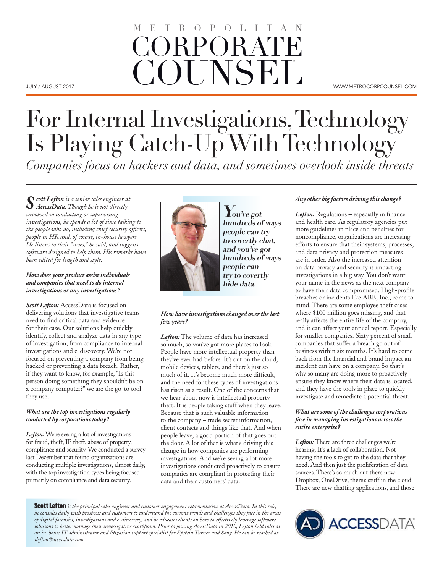## JULY / AUGUST 2017 WWW.METROCORPCOUNSEL.COM ORPORAT **COUNSEL** O P O L I T

# For Internal Investigations, Technology Is Playing Catch-Up With Technology *Companies focus on hackers and data, and sometimes overlook inside threats*

*Scott Lefton is a senior sales engineer at AccessData. Though he is not directly involved in conducting or supervising investigations, he spends a lot of time talking to the people who do, including chief security officers, people in HR and, of course, in-house lawyers. He listens to their "woes," he said, and suggests software designed to help them. His remarks have been edited for length and style.*

#### *How does your product assist individuals and companies that need to do internal investigations or any investigations?*

*Scott Lefton:* AccessData is focused on delivering solutions that investigative teams need to find critical data and evidence for their case. Our solutions help quickly identify, collect and analyze data in any type of investigation, from compliance to internal investigations and e-discovery. We're not focused on preventing a company from being hacked or preventing a data breach. Rather, if they want to know, for example, "Is this person doing something they shouldn't be on a company computer?" we are the go-to tool they use.

#### *What are the top investigations regularly conducted by corporations today?*

*Lefton:* We're seeing a lot of investigations for fraud, theft, IP theft, abuse of property, compliance and security. We conducted a survey last December that found organizations are conducting multiple investigations, almost daily, with the top investigation types being focused primarily on compliance and data security.



**You've got hundreds of ways people can try to covertly chat, and you've got hundreds of ways people can try to covertly hide data.**

#### *How have investigations changed over the last few years?*

*Lefton:* The volume of data has increased so much, so you've got more places to look. People have more intellectual property than they've ever had before. It's out on the cloud, mobile devices, tablets, and there's just so much of it. It's become much more difficult, and the need for these types of investigations has risen as a result. One of the concerns that we hear about now is intellectual property theft. It is people taking stuff when they leave. Because that is such valuable information to the company – trade secret information, client contacts and things like that. And when people leave, a good portion of that goes out the door. A lot of that is what's driving this change in how companies are performing investigations. And we're seeing a lot more investigations conducted proactively to ensure companies are compliant in protecting their data and their customers' data.

Scott Lefton *is the principal sales engineer and customer engagement representative at AccessData. In this role, he consults daily with prospects and customers to understand the current trends and challenges they face in the areas of digital forensics, investigations and e-discovery, and he educates clients on how to effectively leverage software solutions to better manage their investigative workflows. Prior to joining AccessData in 2010, Lefton held roles as an in-house IT administrator and litigation support specialist for Epstein Turner and Song. He can be reached at slefton@accessdata.com.*

#### *Any other big factors driving this change?*

*Lefton:* Regulations – especially in finance and health care. As regulatory agencies put more guidelines in place and penalties for noncompliance, organizations are increasing efforts to ensure that their systems, processes, and data privacy and protection measures are in order. Also the increased attention on data privacy and security is impacting investigations in a big way. You don't want your name in the news as the next company to have their data compromised. High-profile breaches or incidents like ABB, Inc., come to mind. There are some employee theft cases where \$100 million goes missing, and that really affects the entire life of the company, and it can affect your annual report. Especially for smaller companies. Sixty percent of small companies that suffer a breach go out of business within six months. It's hard to come back from the financial and brand impact an incident can have on a company. So that's why so many are doing more to proactively ensure they know where their data is located, and they have the tools in place to quickly investigate and remediate a potential threat.

#### *What are some of the challenges corporations face in managing investigations across the entire enterprise?*

*Lefton:* There are three challenges we're hearing. It's a lack of collaboration. Not having the tools to get to the data that they need. And then just the proliferation of data sources. There's so much out there now: Dropbox, OneDrive, there's stuff in the cloud. There are new chatting applications, and those